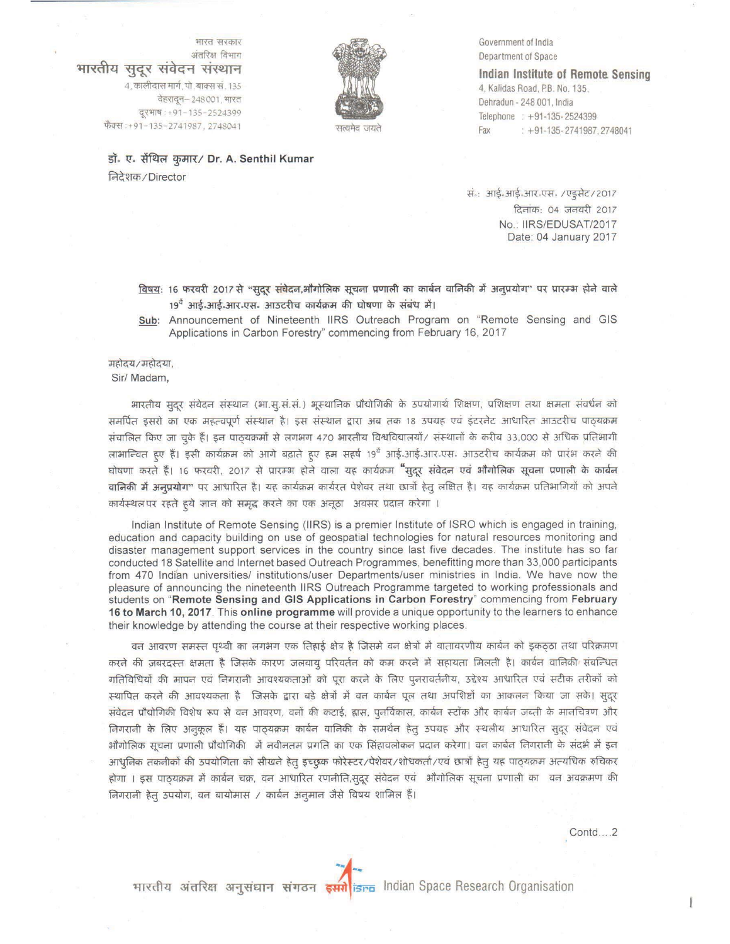सत्यमेव जयते

Government of India Department of Space

Indian Institute of Remote Sensing 4, Kalidas Road, P.B. No. 135, Dehradun - 248 001, India Telephone: +91-135-2524399 Fax  $: +91 - 135 - 2741987, 2748041$ 

डॉ. ए. सेंथिल कुमार/ Dr. A. Senthil Kumar निदेशक/Director

भारत सरकार

अंतरिक्ष विभाग

भारतीय सुदूर संवेदन संस्थान

4, कालीदास मार्ग, पो. बाक्स सं. 135

फैक्स:+91-135-2741987, 2748041

वेहरादून-248001, भारत

दूरभाष: +91-135-2524399

सं.: आई.आई.आर.एस. /एइसेट/2017 दिलांक: 04 जनवरी 2017 No.: IIRS/EDUSAT/2017 Date: 04 January 2017

विषयः 16 फरवरी 2017 से "सुदूर संघेदन,भौगोलिक सूचना प्रणाली का कार्बन वानिकी में अनुप्रयोग" पर प्रारम्भ होने वाले 19<sup>वें</sup> आर्ड-आर्ड-आर<sup>ृ</sup>एस- आउटरीच कार्यक्रम की घोषणा के संबंध में।

Sub: Announcement of Nineteenth IIRS Outreach Program on "Remote Sensing and GIS Applications in Carbon Forestry" commencing from February 16, 2017

महोदय/महोदया.

Sir/ Madam,

भारतीय सुदूर संवेदन संस्थान (भा.सू.सं.सं.) भूस्थानिक प्रौद्योगिकी के उपयोगार्थ शिक्षण, प्रशिक्षण तथा क्षमता संवर्धन को समर्पित इसरो का एक महत्वपूर्ण संस्थान है। इस संस्थान द्वारा अब तक 18 उपग्रह एवं इंटरनेट आधारित आउटरीच पाठ्यक्रम संचालित किए जा चुके हैं। इन पाठयक्रमों से लगभग 470 भारतीय विश्वविद्यालयों/ संस्थानों के करीब 33,000 से अधिक प्रतिभागी लाभान्चित हुए हैं। इसी कार्यक्रम को आगे बढ़ाते हुए हम सहर्ष 19<sup>वे</sup> आई आई आर<sup>ू</sup>एसः आउटरीच कार्यक्रम को प्रारंभ करने की घोषणा करते हैं। 16 फरवरी, 2017 से प्रारम्भ होने वाला यह कार्यक्रम "सुदूर संवेदन एवं भौगोलिक सूचना प्रणाली के कार्बन वानिकी में अनुप्रयोग" पर आधारित है। यह कार्यक्रम कार्यरत पेशेवर तथा छात्रों हेतु लक्षित है। यह कार्यक्रम प्रतिभागियों को अपने कार्यस्थल पर रहते हूये ज्ञान को समृद्ध करने का एक अनूठा अवसर प्रदान करेगा ।

Indian Institute of Remote Sensing (IIRS) is a premier Institute of ISRO which is engaged in training, education and capacity building on use of geospatial technologies for natural resources monitoring and disaster management support services in the country since last five decades. The institute has so far conducted 18 Satellite and Internet based Outreach Programmes, benefitting more than 33,000 participants from 470 Indian universities/ institutions/user Departments/user ministries in India. We have now the pleasure of announcing the nineteenth IIRS Outreach Programme targeted to working professionals and students on "Remote Sensing and GIS Applications in Carbon Forestry" commencing from February 16 to March 10, 2017. This online programme will provide a unique opportunity to the learners to enhance their knowledge by attending the course at their respective working places.

वन आवरण समस्त पृथ्वी का लगभग एक तिहाई क्षेत्र है जिसमे वन क्षेत्रों में वातावरणीय कार्बन को इकठ्ठा तथा परिक्रमण करने की ज़बरदस्त क्षमता है जिसके कारण जलवायु परिवर्तन को कम करने में सहायता मिलती है। कार्बन वानिकी संबन्धित गतिविधियों की मापन एवं निगरानी आवश्यकताओं को पूरा करने के लिए पुनरावर्तनीय, उद्देश्य आधारित एवं सटीक तरीकों को स्थापित करने की आवश्यकता है जिसके द्वारा बड़े क्षेत्रों में वन कार्बन पूल तथा अपशिष्टों का आकलन किया जा सके। सुदूर संवेदन प्रौद्योगिकी विशेष रूप से वन आवरण, वनों की कटाई, ह्रास, पुनर्विकास, कार्बन स्टॉक और कार्बन ज़ब्ती के मानचित्रण और निगरानी के लिए अनुकूल हैं। यह पाठ्यक्रम कार्बन वानिकी के समर्थन हेतु उपग्रह और स्थलीय आधारित सुदूर संवेदन एवं भौगोलिक सूचना प्रणाली प्रौद्योगिकी में नवीनतम प्रगति का एक सिंहावलोकन प्रदान करेगा। वन कार्बन निगरानी के संदर्भ में इन आधुनिक तकनीकों की उपयोगिता को सीखने हेतु इच्छुक फोरेस्टर/पेशेवर/शोधकर्ता/एवं छात्रों हेतु यह पाठ्यक्रम अत्यधिक रुचिकर होगा । इस पाठ्यक्रम में कार्बन चक्र, वन आधारित रणनीति,सुदूर संवेदन एवं भौगोलिक सूचना प्रणाली का वन अवक्रमण की निगरानी हेतु उपयोग, वन बायोमास / कार्बन अनुमान जैसे विषय शामिल हैं।

Contd...2

भारतीय अंतरिक्ष अनुसंघान संगठन इसरी isra Indian Space Research Organisation